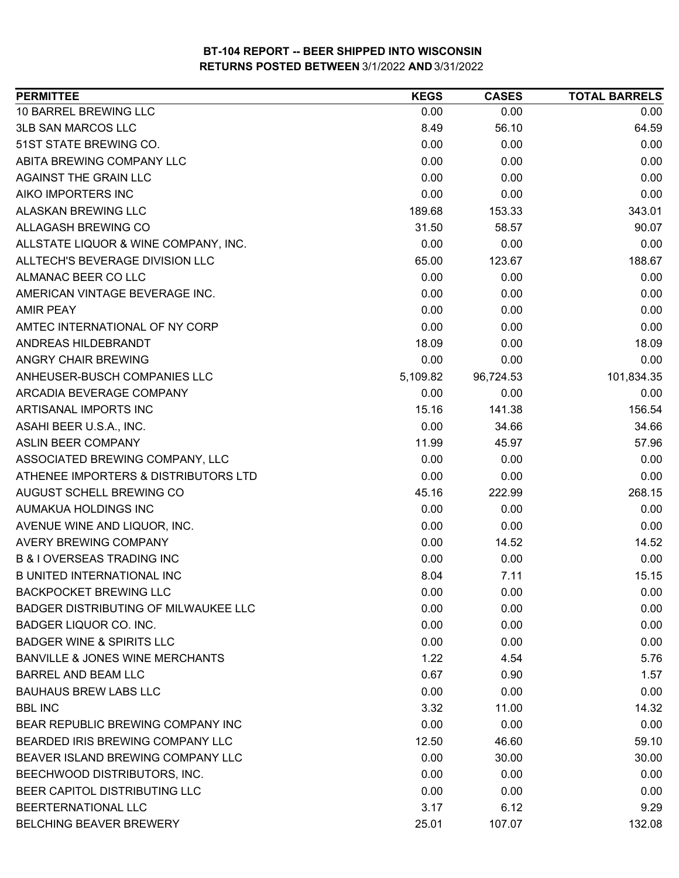| <b>PERMITTEE</b>                            | <b>KEGS</b> | <b>CASES</b> | <b>TOTAL BARRELS</b> |
|---------------------------------------------|-------------|--------------|----------------------|
| 10 BARREL BREWING LLC                       | 0.00        | 0.00         | 0.00                 |
| <b>3LB SAN MARCOS LLC</b>                   | 8.49        | 56.10        | 64.59                |
| 51ST STATE BREWING CO.                      | 0.00        | 0.00         | 0.00                 |
| ABITA BREWING COMPANY LLC                   | 0.00        | 0.00         | 0.00                 |
| <b>AGAINST THE GRAIN LLC</b>                | 0.00        | 0.00         | 0.00                 |
| AIKO IMPORTERS INC                          | 0.00        | 0.00         | 0.00                 |
| ALASKAN BREWING LLC                         | 189.68      | 153.33       | 343.01               |
| ALLAGASH BREWING CO                         | 31.50       | 58.57        | 90.07                |
| ALLSTATE LIQUOR & WINE COMPANY, INC.        | 0.00        | 0.00         | 0.00                 |
| ALLTECH'S BEVERAGE DIVISION LLC             | 65.00       | 123.67       | 188.67               |
| ALMANAC BEER CO LLC                         | 0.00        | 0.00         | 0.00                 |
| AMERICAN VINTAGE BEVERAGE INC.              | 0.00        | 0.00         | 0.00                 |
| <b>AMIR PEAY</b>                            | 0.00        | 0.00         | 0.00                 |
| AMTEC INTERNATIONAL OF NY CORP              | 0.00        | 0.00         | 0.00                 |
| ANDREAS HILDEBRANDT                         | 18.09       | 0.00         | 18.09                |
| ANGRY CHAIR BREWING                         | 0.00        | 0.00         | 0.00                 |
| ANHEUSER-BUSCH COMPANIES LLC                | 5,109.82    | 96,724.53    | 101,834.35           |
| ARCADIA BEVERAGE COMPANY                    | 0.00        | 0.00         | 0.00                 |
| ARTISANAL IMPORTS INC                       | 15.16       | 141.38       | 156.54               |
| ASAHI BEER U.S.A., INC.                     | 0.00        | 34.66        | 34.66                |
| <b>ASLIN BEER COMPANY</b>                   | 11.99       | 45.97        | 57.96                |
| ASSOCIATED BREWING COMPANY, LLC             | 0.00        | 0.00         | 0.00                 |
| ATHENEE IMPORTERS & DISTRIBUTORS LTD        | 0.00        | 0.00         | 0.00                 |
| AUGUST SCHELL BREWING CO                    | 45.16       | 222.99       | 268.15               |
| AUMAKUA HOLDINGS INC                        | 0.00        | 0.00         | 0.00                 |
| AVENUE WINE AND LIQUOR, INC.                | 0.00        | 0.00         | 0.00                 |
| AVERY BREWING COMPANY                       | 0.00        | 14.52        | 14.52                |
| <b>B &amp; I OVERSEAS TRADING INC</b>       | 0.00        | 0.00         | 0.00                 |
| <b>B UNITED INTERNATIONAL INC</b>           | 8.04        | 7.11         | 15.15                |
| <b>BACKPOCKET BREWING LLC</b>               | 0.00        | 0.00         | 0.00                 |
| <b>BADGER DISTRIBUTING OF MILWAUKEE LLC</b> | 0.00        | 0.00         | 0.00                 |
| BADGER LIQUOR CO. INC.                      | 0.00        | 0.00         | 0.00                 |
| <b>BADGER WINE &amp; SPIRITS LLC</b>        | 0.00        | 0.00         | 0.00                 |
| <b>BANVILLE &amp; JONES WINE MERCHANTS</b>  | 1.22        | 4.54         | 5.76                 |
| <b>BARREL AND BEAM LLC</b>                  | 0.67        | 0.90         | 1.57                 |
| <b>BAUHAUS BREW LABS LLC</b>                | 0.00        | 0.00         | 0.00                 |
| <b>BBL INC</b>                              | 3.32        | 11.00        | 14.32                |
| BEAR REPUBLIC BREWING COMPANY INC           | 0.00        | 0.00         | 0.00                 |
| BEARDED IRIS BREWING COMPANY LLC            | 12.50       | 46.60        | 59.10                |
| BEAVER ISLAND BREWING COMPANY LLC           | 0.00        | 30.00        | 30.00                |
| BEECHWOOD DISTRIBUTORS, INC.                | 0.00        | 0.00         | 0.00                 |
| BEER CAPITOL DISTRIBUTING LLC               | 0.00        | 0.00         | 0.00                 |
| BEERTERNATIONAL LLC                         | 3.17        | 6.12         | 9.29                 |
| BELCHING BEAVER BREWERY                     | 25.01       | 107.07       | 132.08               |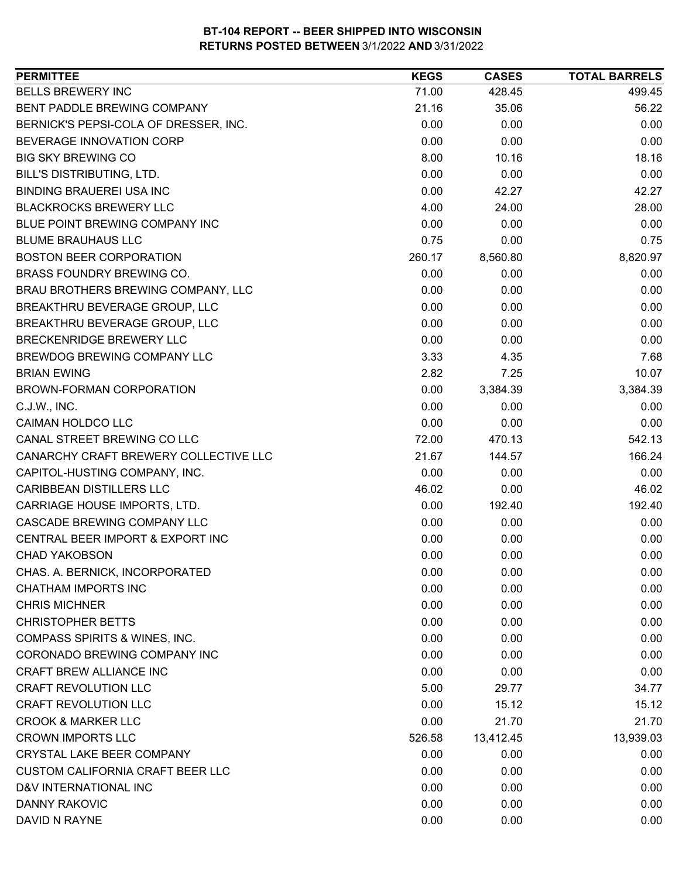| <b>PERMITTEE</b>                         | <b>KEGS</b> | <b>CASES</b> | <b>TOTAL BARRELS</b> |
|------------------------------------------|-------------|--------------|----------------------|
| <b>BELLS BREWERY INC</b>                 | 71.00       | 428.45       | 499.45               |
| BENT PADDLE BREWING COMPANY              | 21.16       | 35.06        | 56.22                |
| BERNICK'S PEPSI-COLA OF DRESSER, INC.    | 0.00        | 0.00         | 0.00                 |
| BEVERAGE INNOVATION CORP                 | 0.00        | 0.00         | 0.00                 |
| <b>BIG SKY BREWING CO</b>                | 8.00        | 10.16        | 18.16                |
| BILL'S DISTRIBUTING, LTD.                | 0.00        | 0.00         | 0.00                 |
| <b>BINDING BRAUEREI USA INC</b>          | 0.00        | 42.27        | 42.27                |
| <b>BLACKROCKS BREWERY LLC</b>            | 4.00        | 24.00        | 28.00                |
| BLUE POINT BREWING COMPANY INC           | 0.00        | 0.00         | 0.00                 |
| <b>BLUME BRAUHAUS LLC</b>                | 0.75        | 0.00         | 0.75                 |
| <b>BOSTON BEER CORPORATION</b>           | 260.17      | 8,560.80     | 8,820.97             |
| BRASS FOUNDRY BREWING CO.                | 0.00        | 0.00         | 0.00                 |
| BRAU BROTHERS BREWING COMPANY, LLC       | 0.00        | 0.00         | 0.00                 |
| BREAKTHRU BEVERAGE GROUP, LLC            | 0.00        | 0.00         | 0.00                 |
| BREAKTHRU BEVERAGE GROUP, LLC            | 0.00        | 0.00         | 0.00                 |
| BRECKENRIDGE BREWERY LLC                 | 0.00        | 0.00         | 0.00                 |
| BREWDOG BREWING COMPANY LLC              | 3.33        | 4.35         | 7.68                 |
| <b>BRIAN EWING</b>                       | 2.82        | 7.25         | 10.07                |
| BROWN-FORMAN CORPORATION                 | 0.00        | 3,384.39     | 3,384.39             |
| C.J.W., INC.                             | 0.00        | 0.00         | 0.00                 |
| <b>CAIMAN HOLDCO LLC</b>                 | 0.00        | 0.00         | 0.00                 |
| CANAL STREET BREWING CO LLC              | 72.00       | 470.13       | 542.13               |
| CANARCHY CRAFT BREWERY COLLECTIVE LLC    | 21.67       | 144.57       | 166.24               |
| CAPITOL-HUSTING COMPANY, INC.            | 0.00        | 0.00         | 0.00                 |
| <b>CARIBBEAN DISTILLERS LLC</b>          | 46.02       | 0.00         | 46.02                |
| CARRIAGE HOUSE IMPORTS, LTD.             | 0.00        | 192.40       | 192.40               |
| CASCADE BREWING COMPANY LLC              | 0.00        | 0.00         | 0.00                 |
| CENTRAL BEER IMPORT & EXPORT INC         | 0.00        | 0.00         | 0.00                 |
| <b>CHAD YAKOBSON</b>                     | 0.00        | 0.00         | 0.00                 |
| CHAS. A. BERNICK, INCORPORATED           | 0.00        | 0.00         | 0.00                 |
| <b>CHATHAM IMPORTS INC</b>               | 0.00        | 0.00         | 0.00                 |
| <b>CHRIS MICHNER</b>                     | 0.00        | 0.00         | 0.00                 |
| <b>CHRISTOPHER BETTS</b>                 | 0.00        | 0.00         | 0.00                 |
| <b>COMPASS SPIRITS &amp; WINES, INC.</b> | 0.00        | 0.00         | 0.00                 |
| CORONADO BREWING COMPANY INC             | 0.00        | 0.00         | 0.00                 |
| CRAFT BREW ALLIANCE INC                  | 0.00        | 0.00         | 0.00                 |
| <b>CRAFT REVOLUTION LLC</b>              | 5.00        | 29.77        | 34.77                |
| <b>CRAFT REVOLUTION LLC</b>              | 0.00        | 15.12        | 15.12                |
| <b>CROOK &amp; MARKER LLC</b>            | 0.00        | 21.70        | 21.70                |
| <b>CROWN IMPORTS LLC</b>                 | 526.58      | 13,412.45    | 13,939.03            |
| CRYSTAL LAKE BEER COMPANY                | 0.00        | 0.00         | 0.00                 |
| <b>CUSTOM CALIFORNIA CRAFT BEER LLC</b>  | 0.00        | 0.00         | 0.00                 |
| D&V INTERNATIONAL INC                    | 0.00        | 0.00         | 0.00                 |
| <b>DANNY RAKOVIC</b>                     | 0.00        | 0.00         | 0.00                 |
| DAVID N RAYNE                            | 0.00        | 0.00         | 0.00                 |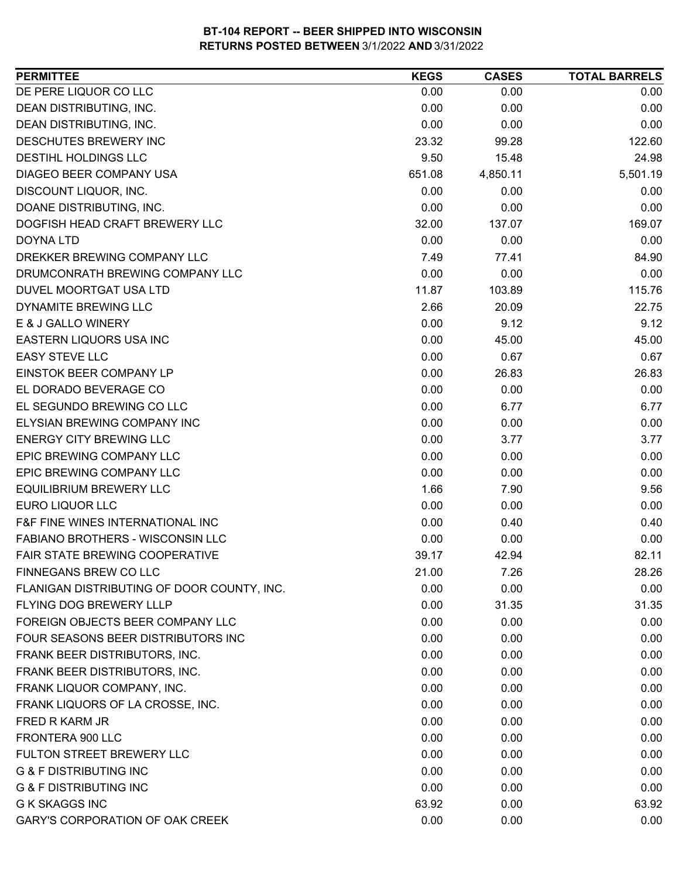| <b>PERMITTEE</b>                           | <b>KEGS</b> | <b>CASES</b> | <b>TOTAL BARRELS</b> |
|--------------------------------------------|-------------|--------------|----------------------|
| DE PERE LIQUOR CO LLC                      | 0.00        | 0.00         | 0.00                 |
| DEAN DISTRIBUTING, INC.                    | 0.00        | 0.00         | 0.00                 |
| DEAN DISTRIBUTING, INC.                    | 0.00        | 0.00         | 0.00                 |
| DESCHUTES BREWERY INC                      | 23.32       | 99.28        | 122.60               |
| <b>DESTIHL HOLDINGS LLC</b>                | 9.50        | 15.48        | 24.98                |
| DIAGEO BEER COMPANY USA                    | 651.08      | 4,850.11     | 5,501.19             |
| DISCOUNT LIQUOR, INC.                      | 0.00        | 0.00         | 0.00                 |
| DOANE DISTRIBUTING, INC.                   | 0.00        | 0.00         | 0.00                 |
| DOGFISH HEAD CRAFT BREWERY LLC             | 32.00       | 137.07       | 169.07               |
| <b>DOYNA LTD</b>                           | 0.00        | 0.00         | 0.00                 |
| DREKKER BREWING COMPANY LLC                | 7.49        | 77.41        | 84.90                |
| DRUMCONRATH BREWING COMPANY LLC            | 0.00        | 0.00         | 0.00                 |
| DUVEL MOORTGAT USA LTD                     | 11.87       | 103.89       | 115.76               |
| DYNAMITE BREWING LLC                       | 2.66        | 20.09        | 22.75                |
| E & J GALLO WINERY                         | 0.00        | 9.12         | 9.12                 |
| EASTERN LIQUORS USA INC                    | 0.00        | 45.00        | 45.00                |
| <b>EASY STEVE LLC</b>                      | 0.00        | 0.67         | 0.67                 |
| EINSTOK BEER COMPANY LP                    | 0.00        | 26.83        | 26.83                |
| EL DORADO BEVERAGE CO                      | 0.00        | 0.00         | 0.00                 |
| EL SEGUNDO BREWING CO LLC                  | 0.00        | 6.77         | 6.77                 |
| ELYSIAN BREWING COMPANY INC                | 0.00        | 0.00         | 0.00                 |
| <b>ENERGY CITY BREWING LLC</b>             | 0.00        | 3.77         | 3.77                 |
| EPIC BREWING COMPANY LLC                   | 0.00        | 0.00         | 0.00                 |
| EPIC BREWING COMPANY LLC                   | 0.00        | 0.00         | 0.00                 |
| <b>EQUILIBRIUM BREWERY LLC</b>             | 1.66        | 7.90         | 9.56                 |
| <b>EURO LIQUOR LLC</b>                     | 0.00        | 0.00         | 0.00                 |
| F&F FINE WINES INTERNATIONAL INC           | 0.00        | 0.40         | 0.40                 |
| FABIANO BROTHERS - WISCONSIN LLC           | 0.00        | 0.00         | 0.00                 |
| FAIR STATE BREWING COOPERATIVE             | 39.17       | 42.94        | 82.11                |
| FINNEGANS BREW CO LLC                      | 21.00       | 7.26         | 28.26                |
| FLANIGAN DISTRIBUTING OF DOOR COUNTY, INC. | 0.00        | 0.00         | 0.00                 |
| <b>FLYING DOG BREWERY LLLP</b>             | 0.00        | 31.35        | 31.35                |
| FOREIGN OBJECTS BEER COMPANY LLC           | 0.00        | 0.00         | 0.00                 |
| FOUR SEASONS BEER DISTRIBUTORS INC         | 0.00        | 0.00         | 0.00                 |
| FRANK BEER DISTRIBUTORS, INC.              | 0.00        | 0.00         | 0.00                 |
| FRANK BEER DISTRIBUTORS, INC.              | 0.00        | 0.00         | 0.00                 |
| FRANK LIQUOR COMPANY, INC.                 | 0.00        | 0.00         | 0.00                 |
| FRANK LIQUORS OF LA CROSSE, INC.           | 0.00        | 0.00         | 0.00                 |
| FRED R KARM JR                             | 0.00        | 0.00         | 0.00                 |
| FRONTERA 900 LLC                           | 0.00        | 0.00         | 0.00                 |
| FULTON STREET BREWERY LLC                  | 0.00        | 0.00         | 0.00                 |
| <b>G &amp; F DISTRIBUTING INC</b>          | 0.00        | 0.00         | 0.00                 |
| <b>G &amp; F DISTRIBUTING INC</b>          | 0.00        | 0.00         | 0.00                 |
| <b>G K SKAGGS INC</b>                      | 63.92       | 0.00         | 63.92                |
| <b>GARY'S CORPORATION OF OAK CREEK</b>     | 0.00        | 0.00         | 0.00                 |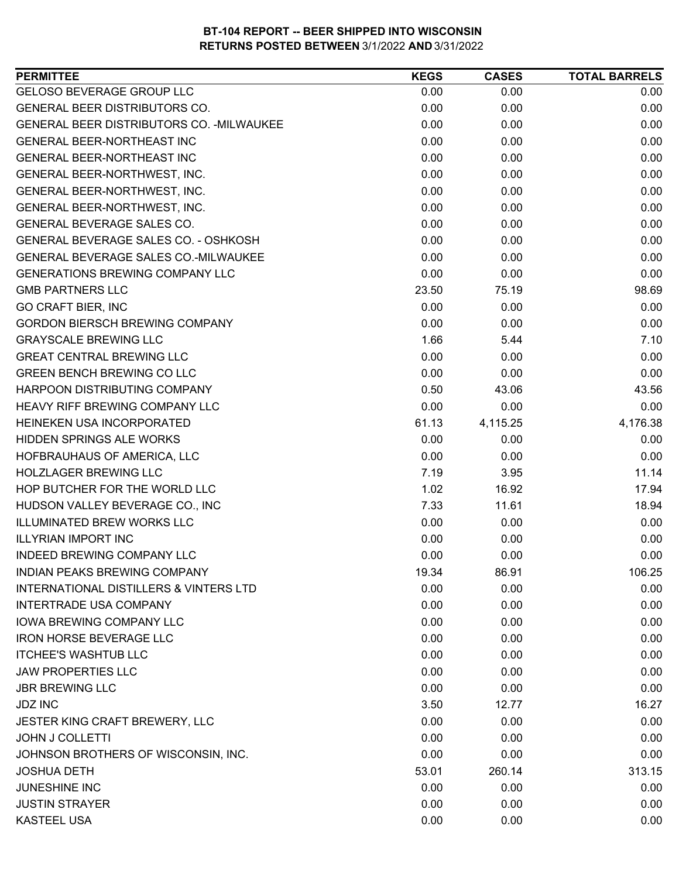| GELOSO BEVERAGE GROUP LLC<br>0.00<br>0.00<br>0.00<br><b>GENERAL BEER DISTRIBUTORS CO.</b><br>0.00<br>0.00<br>0.00<br>GENERAL BEER DISTRIBUTORS CO. - MILWAUKEE<br>0.00<br>0.00<br>0.00<br>0.00<br>0.00<br>0.00<br><b>GENERAL BEER-NORTHEAST INC</b><br>0.00<br>0.00<br>0.00<br>GENERAL BEER-NORTHEAST INC<br>GENERAL BEER-NORTHWEST, INC.<br>0.00<br>0.00<br>0.00<br>0.00<br>0.00<br>0.00<br>GENERAL BEER-NORTHWEST, INC.<br>0.00<br>0.00<br>0.00<br>GENERAL BEER-NORTHWEST, INC.<br>0.00<br>GENERAL BEVERAGE SALES CO.<br>0.00<br>0.00<br>GENERAL BEVERAGE SALES CO. - OSHKOSH<br>0.00<br>0.00<br>0.00<br>GENERAL BEVERAGE SALES CO.-MILWAUKEE<br>0.00<br>0.00<br>0.00<br><b>GENERATIONS BREWING COMPANY LLC</b><br>0.00<br>0.00<br>0.00<br><b>GMB PARTNERS LLC</b><br>23.50<br>75.19<br>98.69<br><b>GO CRAFT BIER, INC</b><br>0.00<br>0.00<br>0.00<br><b>GORDON BIERSCH BREWING COMPANY</b><br>0.00<br>0.00<br>0.00 |
|-----------------------------------------------------------------------------------------------------------------------------------------------------------------------------------------------------------------------------------------------------------------------------------------------------------------------------------------------------------------------------------------------------------------------------------------------------------------------------------------------------------------------------------------------------------------------------------------------------------------------------------------------------------------------------------------------------------------------------------------------------------------------------------------------------------------------------------------------------------------------------------------------------------------------|
|                                                                                                                                                                                                                                                                                                                                                                                                                                                                                                                                                                                                                                                                                                                                                                                                                                                                                                                       |
|                                                                                                                                                                                                                                                                                                                                                                                                                                                                                                                                                                                                                                                                                                                                                                                                                                                                                                                       |
|                                                                                                                                                                                                                                                                                                                                                                                                                                                                                                                                                                                                                                                                                                                                                                                                                                                                                                                       |
|                                                                                                                                                                                                                                                                                                                                                                                                                                                                                                                                                                                                                                                                                                                                                                                                                                                                                                                       |
|                                                                                                                                                                                                                                                                                                                                                                                                                                                                                                                                                                                                                                                                                                                                                                                                                                                                                                                       |
|                                                                                                                                                                                                                                                                                                                                                                                                                                                                                                                                                                                                                                                                                                                                                                                                                                                                                                                       |
|                                                                                                                                                                                                                                                                                                                                                                                                                                                                                                                                                                                                                                                                                                                                                                                                                                                                                                                       |
|                                                                                                                                                                                                                                                                                                                                                                                                                                                                                                                                                                                                                                                                                                                                                                                                                                                                                                                       |
|                                                                                                                                                                                                                                                                                                                                                                                                                                                                                                                                                                                                                                                                                                                                                                                                                                                                                                                       |
|                                                                                                                                                                                                                                                                                                                                                                                                                                                                                                                                                                                                                                                                                                                                                                                                                                                                                                                       |
|                                                                                                                                                                                                                                                                                                                                                                                                                                                                                                                                                                                                                                                                                                                                                                                                                                                                                                                       |
|                                                                                                                                                                                                                                                                                                                                                                                                                                                                                                                                                                                                                                                                                                                                                                                                                                                                                                                       |
|                                                                                                                                                                                                                                                                                                                                                                                                                                                                                                                                                                                                                                                                                                                                                                                                                                                                                                                       |
|                                                                                                                                                                                                                                                                                                                                                                                                                                                                                                                                                                                                                                                                                                                                                                                                                                                                                                                       |
|                                                                                                                                                                                                                                                                                                                                                                                                                                                                                                                                                                                                                                                                                                                                                                                                                                                                                                                       |
| <b>GRAYSCALE BREWING LLC</b><br>1.66<br>7.10<br>5.44                                                                                                                                                                                                                                                                                                                                                                                                                                                                                                                                                                                                                                                                                                                                                                                                                                                                  |
| 0.00<br>0.00<br><b>GREAT CENTRAL BREWING LLC</b><br>0.00                                                                                                                                                                                                                                                                                                                                                                                                                                                                                                                                                                                                                                                                                                                                                                                                                                                              |
| <b>GREEN BENCH BREWING CO LLC</b><br>0.00<br>0.00<br>0.00                                                                                                                                                                                                                                                                                                                                                                                                                                                                                                                                                                                                                                                                                                                                                                                                                                                             |
| HARPOON DISTRIBUTING COMPANY<br>0.50<br>43.56<br>43.06                                                                                                                                                                                                                                                                                                                                                                                                                                                                                                                                                                                                                                                                                                                                                                                                                                                                |
| 0.00<br>0.00<br><b>HEAVY RIFF BREWING COMPANY LLC</b><br>0.00                                                                                                                                                                                                                                                                                                                                                                                                                                                                                                                                                                                                                                                                                                                                                                                                                                                         |
| 61.13<br>4,115.25<br>4,176.38<br>HEINEKEN USA INCORPORATED                                                                                                                                                                                                                                                                                                                                                                                                                                                                                                                                                                                                                                                                                                                                                                                                                                                            |
| <b>HIDDEN SPRINGS ALE WORKS</b><br>0.00<br>0.00<br>0.00                                                                                                                                                                                                                                                                                                                                                                                                                                                                                                                                                                                                                                                                                                                                                                                                                                                               |
| HOFBRAUHAUS OF AMERICA, LLC<br>0.00<br>0.00<br>0.00                                                                                                                                                                                                                                                                                                                                                                                                                                                                                                                                                                                                                                                                                                                                                                                                                                                                   |
| <b>HOLZLAGER BREWING LLC</b><br>11.14<br>7.19<br>3.95                                                                                                                                                                                                                                                                                                                                                                                                                                                                                                                                                                                                                                                                                                                                                                                                                                                                 |
| HOP BUTCHER FOR THE WORLD LLC<br>1.02<br>17.94<br>16.92                                                                                                                                                                                                                                                                                                                                                                                                                                                                                                                                                                                                                                                                                                                                                                                                                                                               |
| HUDSON VALLEY BEVERAGE CO., INC<br>7.33<br>11.61<br>18.94                                                                                                                                                                                                                                                                                                                                                                                                                                                                                                                                                                                                                                                                                                                                                                                                                                                             |
| ILLUMINATED BREW WORKS LLC<br>0.00<br>0.00<br>0.00                                                                                                                                                                                                                                                                                                                                                                                                                                                                                                                                                                                                                                                                                                                                                                                                                                                                    |
| <b>ILLYRIAN IMPORT INC</b><br>0.00<br>0.00<br>0.00                                                                                                                                                                                                                                                                                                                                                                                                                                                                                                                                                                                                                                                                                                                                                                                                                                                                    |
| INDEED BREWING COMPANY LLC<br>0.00<br>0.00<br>0.00                                                                                                                                                                                                                                                                                                                                                                                                                                                                                                                                                                                                                                                                                                                                                                                                                                                                    |
| INDIAN PEAKS BREWING COMPANY<br>19.34<br>86.91<br>106.25                                                                                                                                                                                                                                                                                                                                                                                                                                                                                                                                                                                                                                                                                                                                                                                                                                                              |
| INTERNATIONAL DISTILLERS & VINTERS LTD<br>0.00<br>0.00<br>0.00                                                                                                                                                                                                                                                                                                                                                                                                                                                                                                                                                                                                                                                                                                                                                                                                                                                        |
| <b>INTERTRADE USA COMPANY</b><br>0.00<br>0.00<br>0.00                                                                                                                                                                                                                                                                                                                                                                                                                                                                                                                                                                                                                                                                                                                                                                                                                                                                 |
| <b>IOWA BREWING COMPANY LLC</b><br>0.00<br>0.00<br>0.00                                                                                                                                                                                                                                                                                                                                                                                                                                                                                                                                                                                                                                                                                                                                                                                                                                                               |
| <b>IRON HORSE BEVERAGE LLC</b><br>0.00<br>0.00<br>0.00                                                                                                                                                                                                                                                                                                                                                                                                                                                                                                                                                                                                                                                                                                                                                                                                                                                                |
| <b>ITCHEE'S WASHTUB LLC</b><br>0.00<br>0.00<br>0.00                                                                                                                                                                                                                                                                                                                                                                                                                                                                                                                                                                                                                                                                                                                                                                                                                                                                   |
| <b>JAW PROPERTIES LLC</b><br>0.00<br>0.00<br>0.00                                                                                                                                                                                                                                                                                                                                                                                                                                                                                                                                                                                                                                                                                                                                                                                                                                                                     |
| <b>JBR BREWING LLC</b><br>0.00<br>0.00<br>0.00                                                                                                                                                                                                                                                                                                                                                                                                                                                                                                                                                                                                                                                                                                                                                                                                                                                                        |
| <b>JDZ INC</b><br>3.50<br>12.77<br>16.27                                                                                                                                                                                                                                                                                                                                                                                                                                                                                                                                                                                                                                                                                                                                                                                                                                                                              |
| 0.00<br>0.00<br>JESTER KING CRAFT BREWERY, LLC<br>0.00                                                                                                                                                                                                                                                                                                                                                                                                                                                                                                                                                                                                                                                                                                                                                                                                                                                                |
| <b>JOHN J COLLETTI</b><br>0.00<br>0.00<br>0.00                                                                                                                                                                                                                                                                                                                                                                                                                                                                                                                                                                                                                                                                                                                                                                                                                                                                        |
| 0.00<br>JOHNSON BROTHERS OF WISCONSIN, INC.<br>0.00<br>0.00                                                                                                                                                                                                                                                                                                                                                                                                                                                                                                                                                                                                                                                                                                                                                                                                                                                           |
| 313.15<br><b>JOSHUA DETH</b><br>53.01<br>260.14                                                                                                                                                                                                                                                                                                                                                                                                                                                                                                                                                                                                                                                                                                                                                                                                                                                                       |
| <b>JUNESHINE INC</b><br>0.00<br>0.00<br>0.00                                                                                                                                                                                                                                                                                                                                                                                                                                                                                                                                                                                                                                                                                                                                                                                                                                                                          |
| <b>JUSTIN STRAYER</b><br>0.00<br>0.00<br>0.00                                                                                                                                                                                                                                                                                                                                                                                                                                                                                                                                                                                                                                                                                                                                                                                                                                                                         |
| <b>KASTEEL USA</b><br>0.00<br>0.00<br>0.00                                                                                                                                                                                                                                                                                                                                                                                                                                                                                                                                                                                                                                                                                                                                                                                                                                                                            |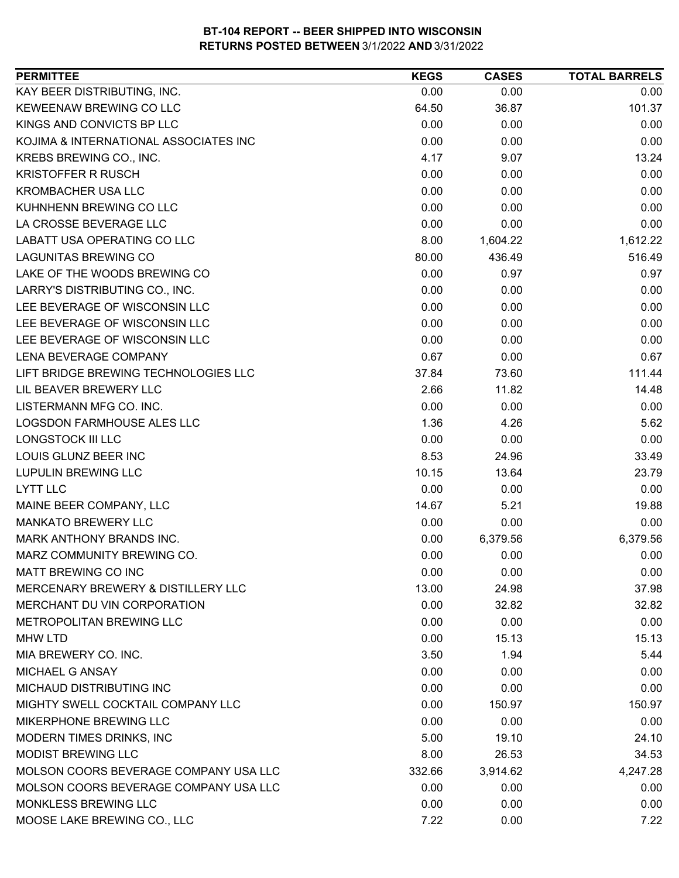| <b>PERMITTEE</b>                      | <b>KEGS</b> | <b>CASES</b> | <b>TOTAL BARRELS</b> |
|---------------------------------------|-------------|--------------|----------------------|
| KAY BEER DISTRIBUTING, INC.           | 0.00        | 0.00         | 0.00                 |
| KEWEENAW BREWING CO LLC               | 64.50       | 36.87        | 101.37               |
| KINGS AND CONVICTS BP LLC             | 0.00        | 0.00         | 0.00                 |
| KOJIMA & INTERNATIONAL ASSOCIATES INC | 0.00        | 0.00         | 0.00                 |
| KREBS BREWING CO., INC.               | 4.17        | 9.07         | 13.24                |
| <b>KRISTOFFER R RUSCH</b>             | 0.00        | 0.00         | 0.00                 |
| <b>KROMBACHER USA LLC</b>             | 0.00        | 0.00         | 0.00                 |
| KUHNHENN BREWING CO LLC               | 0.00        | 0.00         | 0.00                 |
| LA CROSSE BEVERAGE LLC                | 0.00        | 0.00         | 0.00                 |
| LABATT USA OPERATING CO LLC           | 8.00        | 1,604.22     | 1,612.22             |
| <b>LAGUNITAS BREWING CO</b>           | 80.00       | 436.49       | 516.49               |
| LAKE OF THE WOODS BREWING CO          | 0.00        | 0.97         | 0.97                 |
| LARRY'S DISTRIBUTING CO., INC.        | 0.00        | 0.00         | 0.00                 |
| LEE BEVERAGE OF WISCONSIN LLC         | 0.00        | 0.00         | 0.00                 |
| LEE BEVERAGE OF WISCONSIN LLC         | 0.00        | 0.00         | 0.00                 |
| LEE BEVERAGE OF WISCONSIN LLC         | 0.00        | 0.00         | 0.00                 |
| LENA BEVERAGE COMPANY                 | 0.67        | 0.00         | 0.67                 |
| LIFT BRIDGE BREWING TECHNOLOGIES LLC  | 37.84       | 73.60        | 111.44               |
| LIL BEAVER BREWERY LLC                | 2.66        | 11.82        | 14.48                |
| LISTERMANN MFG CO. INC.               | 0.00        | 0.00         | 0.00                 |
| LOGSDON FARMHOUSE ALES LLC            | 1.36        | 4.26         | 5.62                 |
| <b>LONGSTOCK III LLC</b>              | 0.00        | 0.00         | 0.00                 |
| LOUIS GLUNZ BEER INC                  | 8.53        | 24.96        | 33.49                |
| <b>LUPULIN BREWING LLC</b>            | 10.15       | 13.64        | 23.79                |
| <b>LYTT LLC</b>                       | 0.00        | 0.00         | 0.00                 |
| MAINE BEER COMPANY, LLC               | 14.67       | 5.21         | 19.88                |
| <b>MANKATO BREWERY LLC</b>            | 0.00        | 0.00         | 0.00                 |
| MARK ANTHONY BRANDS INC.              | 0.00        | 6,379.56     | 6,379.56             |
| MARZ COMMUNITY BREWING CO.            | 0.00        | 0.00         | 0.00                 |
| <b>MATT BREWING CO INC</b>            | 0.00        | 0.00         | 0.00                 |
| MERCENARY BREWERY & DISTILLERY LLC    | 13.00       | 24.98        | 37.98                |
| MERCHANT DU VIN CORPORATION           | 0.00        | 32.82        | 32.82                |
| METROPOLITAN BREWING LLC              | 0.00        | 0.00         | 0.00                 |
| <b>MHW LTD</b>                        | 0.00        | 15.13        | 15.13                |
| MIA BREWERY CO. INC.                  | 3.50        | 1.94         | 5.44                 |
| <b>MICHAEL G ANSAY</b>                | 0.00        | 0.00         | 0.00                 |
| MICHAUD DISTRIBUTING INC              | 0.00        | 0.00         | 0.00                 |
| MIGHTY SWELL COCKTAIL COMPANY LLC     | 0.00        | 150.97       | 150.97               |
| MIKERPHONE BREWING LLC                | 0.00        | 0.00         | 0.00                 |
| MODERN TIMES DRINKS, INC              | 5.00        | 19.10        | 24.10                |
| <b>MODIST BREWING LLC</b>             | 8.00        | 26.53        | 34.53                |
| MOLSON COORS BEVERAGE COMPANY USA LLC | 332.66      | 3,914.62     | 4,247.28             |
| MOLSON COORS BEVERAGE COMPANY USA LLC | 0.00        | 0.00         | 0.00                 |
| <b>MONKLESS BREWING LLC</b>           | 0.00        | 0.00         | 0.00                 |
| MOOSE LAKE BREWING CO., LLC           | 7.22        | 0.00         | 7.22                 |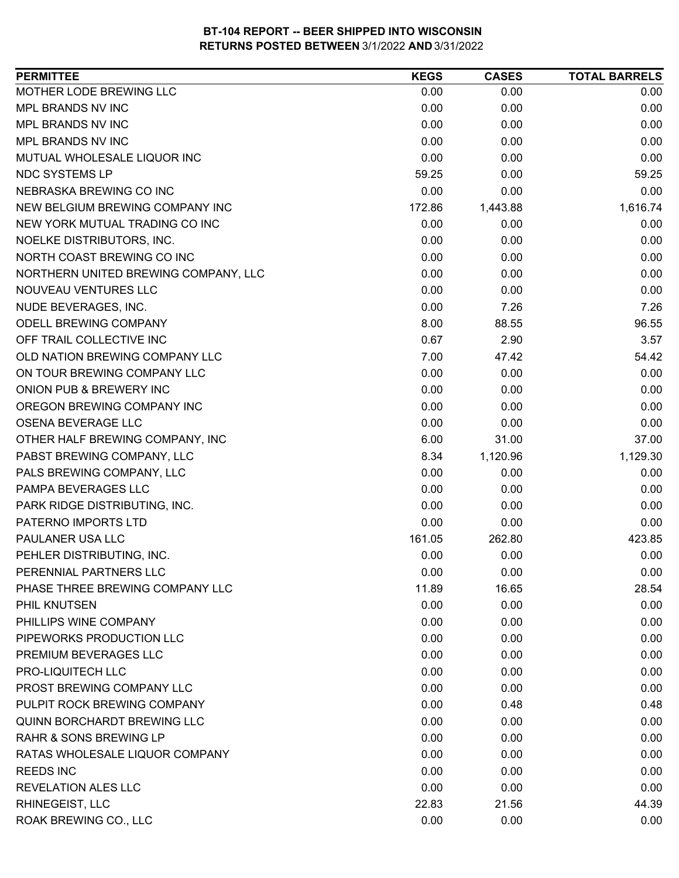| <b>PERMITTEE</b>                     | <b>KEGS</b> | <b>CASES</b> | <b>TOTAL BARRELS</b> |
|--------------------------------------|-------------|--------------|----------------------|
| MOTHER LODE BREWING LLC              | 0.00        | 0.00         | 0.00                 |
| MPL BRANDS NV INC                    | 0.00        | 0.00         | 0.00                 |
| MPL BRANDS NV INC                    | 0.00        | 0.00         | 0.00                 |
| MPL BRANDS NV INC                    | 0.00        | 0.00         | 0.00                 |
| MUTUAL WHOLESALE LIQUOR INC          | 0.00        | 0.00         | 0.00                 |
| NDC SYSTEMS LP                       | 59.25       | 0.00         | 59.25                |
| NEBRASKA BREWING CO INC              | 0.00        | 0.00         | 0.00                 |
| NEW BELGIUM BREWING COMPANY INC      | 172.86      | 1,443.88     | 1,616.74             |
| NEW YORK MUTUAL TRADING CO INC       | 0.00        | 0.00         | 0.00                 |
| NOELKE DISTRIBUTORS, INC.            | 0.00        | 0.00         | 0.00                 |
| NORTH COAST BREWING CO INC           | 0.00        | 0.00         | 0.00                 |
| NORTHERN UNITED BREWING COMPANY, LLC | 0.00        | 0.00         | 0.00                 |
| NOUVEAU VENTURES LLC                 | 0.00        | 0.00         | 0.00                 |
| NUDE BEVERAGES, INC.                 | 0.00        | 7.26         | 7.26                 |
| ODELL BREWING COMPANY                | 8.00        | 88.55        | 96.55                |
| OFF TRAIL COLLECTIVE INC             | 0.67        | 2.90         | 3.57                 |
| OLD NATION BREWING COMPANY LLC       | 7.00        | 47.42        | 54.42                |
| ON TOUR BREWING COMPANY LLC          | 0.00        | 0.00         | 0.00                 |
| ONION PUB & BREWERY INC              | 0.00        | 0.00         | 0.00                 |
| OREGON BREWING COMPANY INC           | 0.00        | 0.00         | 0.00                 |
| OSENA BEVERAGE LLC                   | 0.00        | 0.00         | 0.00                 |
| OTHER HALF BREWING COMPANY, INC      | 6.00        | 31.00        | 37.00                |
| PABST BREWING COMPANY, LLC           | 8.34        | 1,120.96     | 1,129.30             |
| PALS BREWING COMPANY, LLC            | 0.00        | 0.00         | 0.00                 |
| PAMPA BEVERAGES LLC                  | 0.00        | 0.00         | 0.00                 |
| PARK RIDGE DISTRIBUTING, INC.        | 0.00        | 0.00         | 0.00                 |
| PATERNO IMPORTS LTD                  | 0.00        | 0.00         | 0.00                 |
| PAULANER USA LLC                     | 161.05      | 262.80       | 423.85               |
| PEHLER DISTRIBUTING, INC.            | 0.00        | 0.00         | 0.00                 |
| PERENNIAL PARTNERS LLC               | 0.00        | 0.00         | 0.00                 |
| PHASE THREE BREWING COMPANY LLC      | 11.89       | 16.65        | 28.54                |
| PHIL KNUTSEN                         | 0.00        | 0.00         | 0.00                 |
| PHILLIPS WINE COMPANY                | 0.00        | 0.00         | 0.00                 |
| PIPEWORKS PRODUCTION LLC             | 0.00        | 0.00         | 0.00                 |
| PREMIUM BEVERAGES LLC                | 0.00        | 0.00         | 0.00                 |
| PRO-LIQUITECH LLC                    | 0.00        | 0.00         | 0.00                 |
| PROST BREWING COMPANY LLC            | 0.00        | 0.00         | 0.00                 |
| PULPIT ROCK BREWING COMPANY          | 0.00        | 0.48         | 0.48                 |
| <b>QUINN BORCHARDT BREWING LLC</b>   | 0.00        | 0.00         | 0.00                 |
| <b>RAHR &amp; SONS BREWING LP</b>    | 0.00        | 0.00         | 0.00                 |
| RATAS WHOLESALE LIQUOR COMPANY       | 0.00        | 0.00         | 0.00                 |
| <b>REEDS INC</b>                     | 0.00        | 0.00         | 0.00                 |
| <b>REVELATION ALES LLC</b>           | 0.00        | 0.00         | 0.00                 |
| RHINEGEIST, LLC                      | 22.83       | 21.56        | 44.39                |
| ROAK BREWING CO., LLC                | 0.00        | 0.00         | 0.00                 |
|                                      |             |              |                      |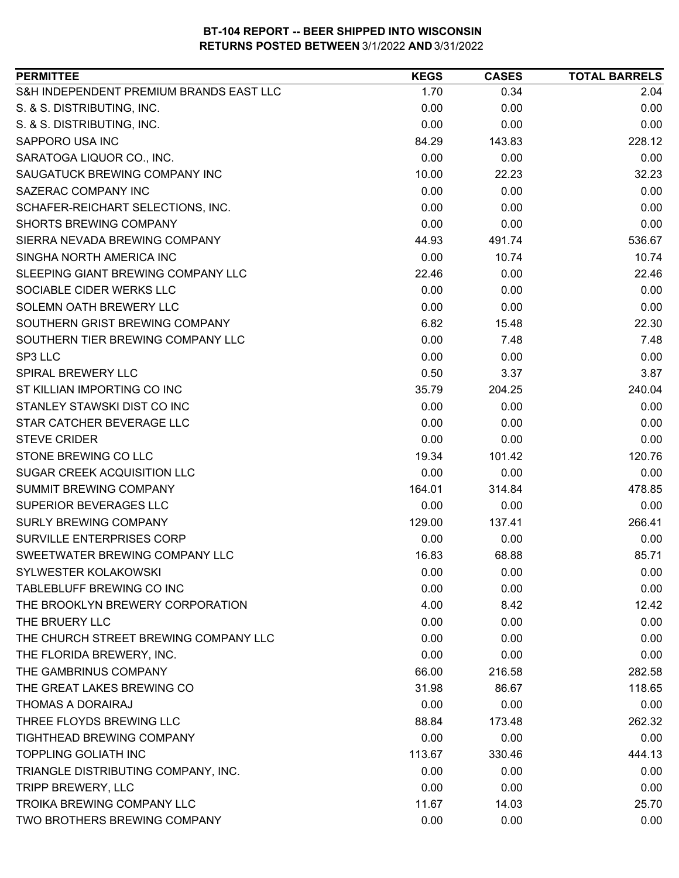| <b>PERMITTEE</b>                        | <b>KEGS</b> | <b>CASES</b> | <b>TOTAL BARRELS</b> |
|-----------------------------------------|-------------|--------------|----------------------|
| S&H INDEPENDENT PREMIUM BRANDS EAST LLC | 1.70        | 0.34         | 2.04                 |
| S. & S. DISTRIBUTING, INC.              | 0.00        | 0.00         | 0.00                 |
| S. & S. DISTRIBUTING, INC.              | 0.00        | 0.00         | 0.00                 |
| SAPPORO USA INC                         | 84.29       | 143.83       | 228.12               |
| SARATOGA LIQUOR CO., INC.               | 0.00        | 0.00         | 0.00                 |
| SAUGATUCK BREWING COMPANY INC           | 10.00       | 22.23        | 32.23                |
| <b>SAZERAC COMPANY INC</b>              | 0.00        | 0.00         | 0.00                 |
| SCHAFER-REICHART SELECTIONS, INC.       | 0.00        | 0.00         | 0.00                 |
| <b>SHORTS BREWING COMPANY</b>           | 0.00        | 0.00         | 0.00                 |
| SIERRA NEVADA BREWING COMPANY           | 44.93       | 491.74       | 536.67               |
| SINGHA NORTH AMERICA INC                | 0.00        | 10.74        | 10.74                |
| SLEEPING GIANT BREWING COMPANY LLC      | 22.46       | 0.00         | 22.46                |
| SOCIABLE CIDER WERKS LLC                | 0.00        | 0.00         | 0.00                 |
| SOLEMN OATH BREWERY LLC                 | 0.00        | 0.00         | 0.00                 |
| SOUTHERN GRIST BREWING COMPANY          | 6.82        | 15.48        | 22.30                |
| SOUTHERN TIER BREWING COMPANY LLC       | 0.00        | 7.48         | 7.48                 |
| SP3 LLC                                 | 0.00        | 0.00         | 0.00                 |
| SPIRAL BREWERY LLC                      | 0.50        | 3.37         | 3.87                 |
| ST KILLIAN IMPORTING CO INC             | 35.79       | 204.25       | 240.04               |
| STANLEY STAWSKI DIST CO INC             | 0.00        | 0.00         | 0.00                 |
| STAR CATCHER BEVERAGE LLC               | 0.00        | 0.00         | 0.00                 |
| <b>STEVE CRIDER</b>                     | 0.00        | 0.00         | 0.00                 |
| STONE BREWING CO LLC                    | 19.34       | 101.42       | 120.76               |
| <b>SUGAR CREEK ACQUISITION LLC</b>      | 0.00        | 0.00         | 0.00                 |
| <b>SUMMIT BREWING COMPANY</b>           | 164.01      | 314.84       | 478.85               |
| SUPERIOR BEVERAGES LLC                  | 0.00        | 0.00         | 0.00                 |
| SURLY BREWING COMPANY                   | 129.00      | 137.41       | 266.41               |
| <b>SURVILLE ENTERPRISES CORP</b>        | 0.00        | 0.00         | 0.00                 |
| SWEETWATER BREWING COMPANY LLC          | 16.83       | 68.88        | 85.71                |
| <b>SYLWESTER KOLAKOWSKI</b>             | 0.00        | 0.00         | 0.00                 |
| TABLEBLUFF BREWING CO INC               | 0.00        | 0.00         | 0.00                 |
| THE BROOKLYN BREWERY CORPORATION        | 4.00        | 8.42         | 12.42                |
| THE BRUERY LLC                          | 0.00        | 0.00         | 0.00                 |
| THE CHURCH STREET BREWING COMPANY LLC   | 0.00        | 0.00         | 0.00                 |
| THE FLORIDA BREWERY, INC.               | 0.00        | 0.00         | 0.00                 |
| THE GAMBRINUS COMPANY                   | 66.00       | 216.58       | 282.58               |
| THE GREAT LAKES BREWING CO              | 31.98       | 86.67        | 118.65               |
| THOMAS A DORAIRAJ                       | 0.00        | 0.00         | 0.00                 |
| THREE FLOYDS BREWING LLC                | 88.84       | 173.48       | 262.32               |
| TIGHTHEAD BREWING COMPANY               | 0.00        | 0.00         | 0.00                 |
| <b>TOPPLING GOLIATH INC</b>             | 113.67      | 330.46       | 444.13               |
| TRIANGLE DISTRIBUTING COMPANY, INC.     | 0.00        | 0.00         | 0.00                 |
| <b>TRIPP BREWERY, LLC</b>               | 0.00        | 0.00         | 0.00                 |
| TROIKA BREWING COMPANY LLC              | 11.67       | 14.03        | 25.70                |
| TWO BROTHERS BREWING COMPANY            | 0.00        | 0.00         | 0.00                 |